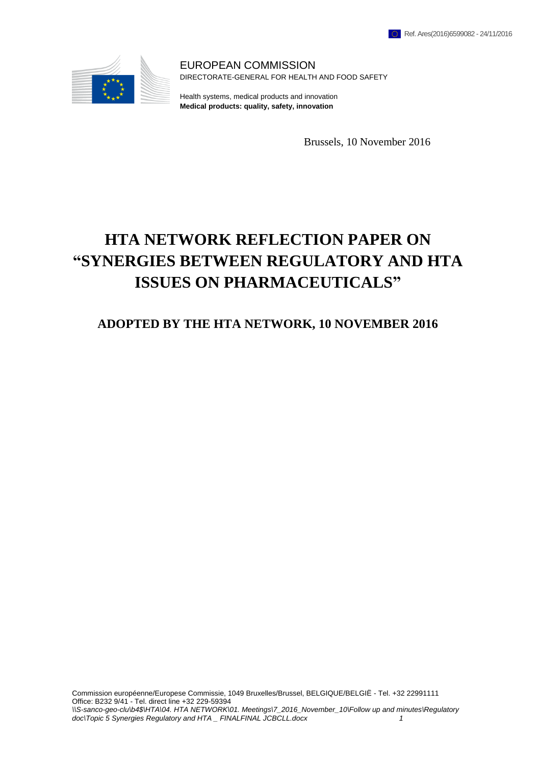

EUROPEAN COMMISSION DIRECTORATE-GENERAL FOR HEALTH AND FOOD SAFETY

Health systems, medical products and innovation **Medical products: quality, safety, innovation**

Brussels, 10 November 2016

# **HTA NETWORK REFLECTION PAPER ON "SYNERGIES BETWEEN REGULATORY AND HTA ISSUES ON PHARMACEUTICALS"**

# **ADOPTED BY THE HTA NETWORK, 10 NOVEMBER 2016**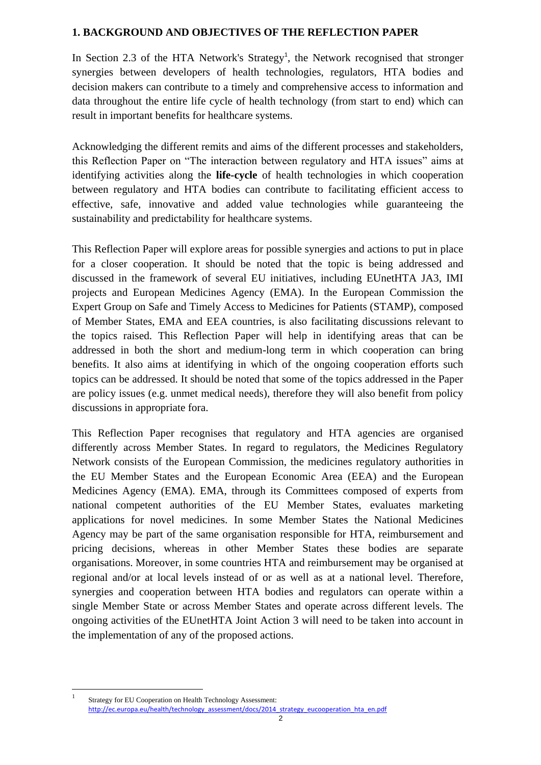#### **1. BACKGROUND AND OBJECTIVES OF THE REFLECTION PAPER**

In Section 2.3 of the HTA Network's Strategy<sup>1</sup>, the Network recognised that stronger synergies between developers of health technologies, regulators, HTA bodies and decision makers can contribute to a timely and comprehensive access to information and data throughout the entire life cycle of health technology (from start to end) which can result in important benefits for healthcare systems.

Acknowledging the different remits and aims of the different processes and stakeholders, this Reflection Paper on "The interaction between regulatory and HTA issues" aims at identifying activities along the **life-cycle** of health technologies in which cooperation between regulatory and HTA bodies can contribute to facilitating efficient access to effective, safe, innovative and added value technologies while guaranteeing the sustainability and predictability for healthcare systems.

This Reflection Paper will explore areas for possible synergies and actions to put in place for a closer cooperation. It should be noted that the topic is being addressed and discussed in the framework of several EU initiatives, including EUnetHTA JA3, IMI projects and European Medicines Agency (EMA). In the European Commission the Expert Group on Safe and Timely Access to Medicines for Patients (STAMP), composed of Member States, EMA and EEA countries, is also facilitating discussions relevant to the topics raised. This Reflection Paper will help in identifying areas that can be addressed in both the short and medium-long term in which cooperation can bring benefits. It also aims at identifying in which of the ongoing cooperation efforts such topics can be addressed. It should be noted that some of the topics addressed in the Paper are policy issues (e.g. unmet medical needs), therefore they will also benefit from policy discussions in appropriate fora.

This Reflection Paper recognises that regulatory and HTA agencies are organised differently across Member States. In regard to regulators, the Medicines Regulatory Network consists of the European Commission, the medicines regulatory authorities in the EU Member States and the European Economic Area (EEA) and the European Medicines Agency (EMA). EMA, through its Committees composed of experts from national competent authorities of the EU Member States, evaluates marketing applications for novel medicines. In some Member States the National Medicines Agency may be part of the same organisation responsible for HTA, reimbursement and pricing decisions, whereas in other Member States these bodies are separate organisations. Moreover, in some countries HTA and reimbursement may be organised at regional and/or at local levels instead of or as well as at a national level. Therefore, synergies and cooperation between HTA bodies and regulators can operate within a single Member State or across Member States and operate across different levels. The ongoing activities of the EUnetHTA Joint Action 3 will need to be taken into account in the implementation of any of the proposed actions.

 $\overline{a}$ 1 Strategy for EU Cooperation on Health Technology Assessment: [http://ec.europa.eu/health/technology\\_assessment/docs/2014\\_strategy\\_eucooperation\\_hta\\_en.pdf](http://ec.europa.eu/health/technology_assessment/docs/2014_strategy_eucooperation_hta_en.pdf)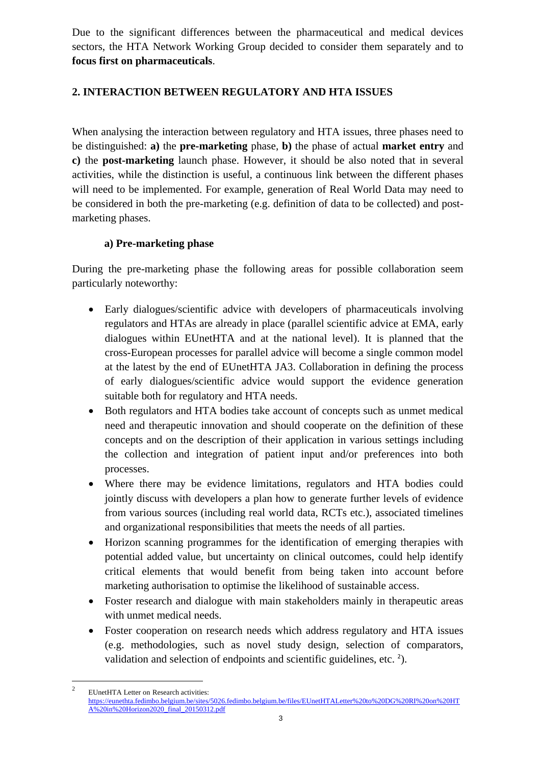Due to the significant differences between the pharmaceutical and medical devices sectors, the HTA Network Working Group decided to consider them separately and to **focus first on pharmaceuticals**.

## **2. INTERACTION BETWEEN REGULATORY AND HTA ISSUES**

When analysing the interaction between regulatory and HTA issues, three phases need to be distinguished: **a)** the **pre-marketing** phase, **b)** the phase of actual **market entry** and **c)** the **post-marketing** launch phase. However, it should be also noted that in several activities, while the distinction is useful, a continuous link between the different phases will need to be implemented. For example, generation of Real World Data may need to be considered in both the pre-marketing (e.g. definition of data to be collected) and postmarketing phases.

## **a) Pre-marketing phase**

During the pre-marketing phase the following areas for possible collaboration seem particularly noteworthy:

- Early dialogues/scientific advice with developers of pharmaceuticals involving regulators and HTAs are already in place (parallel scientific advice at EMA, early dialogues within EUnetHTA and at the national level). It is planned that the cross-European processes for parallel advice will become a single common model at the latest by the end of EUnetHTA JA3. Collaboration in defining the process of early dialogues/scientific advice would support the evidence generation suitable both for regulatory and HTA needs.
- Both regulators and HTA bodies take account of concepts such as unmet medical need and therapeutic innovation and should cooperate on the definition of these concepts and on the description of their application in various settings including the collection and integration of patient input and/or preferences into both processes.
- Where there may be evidence limitations, regulators and HTA bodies could jointly discuss with developers a plan how to generate further levels of evidence from various sources (including real world data, RCTs etc.), associated timelines and organizational responsibilities that meets the needs of all parties.
- Horizon scanning programmes for the identification of emerging therapies with potential added value, but uncertainty on clinical outcomes, could help identify critical elements that would benefit from being taken into account before marketing authorisation to optimise the likelihood of sustainable access.
- Foster research and dialogue with main stakeholders mainly in therapeutic areas with unmet medical needs.
- Foster cooperation on research needs which address regulatory and HTA issues (e.g. methodologies, such as novel study design, selection of comparators, validation and selection of endpoints and scientific guidelines, etc.  $2$ ).

 $\overline{a}$ 2 EUnetHTA Letter on Research activities: [https://eunethta.fedimbo.belgium.be/sites/5026.fedimbo.belgium.be/files/EUnetHTALetter%20to%20DG%20RI%20on%20HT](https://eunethta.fedimbo.belgium.be/sites/5026.fedimbo.belgium.be/files/EUnetHTALetter%20to%20DG%20RI%20on%20HTA%20in%20Horizon2020_final_20150312.pdf) [A%20in%20Horizon2020\\_final\\_20150312.pdf](https://eunethta.fedimbo.belgium.be/sites/5026.fedimbo.belgium.be/files/EUnetHTALetter%20to%20DG%20RI%20on%20HTA%20in%20Horizon2020_final_20150312.pdf)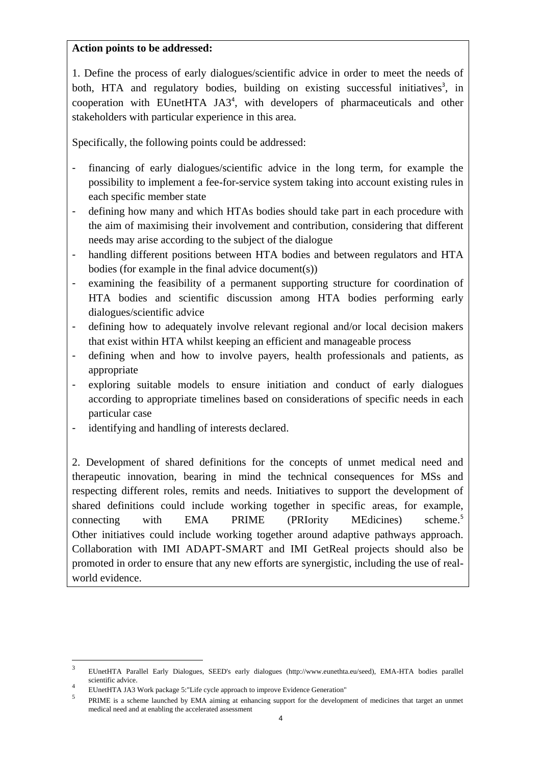#### **Action points to be addressed:**

1. Define the process of early dialogues/scientific advice in order to meet the needs of both, HTA and regulatory bodies, building on existing successful initiatives<sup>3</sup>, in cooperation with EUnetHTA JA3<sup>4</sup> , with developers of pharmaceuticals and other stakeholders with particular experience in this area.

Specifically, the following points could be addressed:

- financing of early dialogues/scientific advice in the long term, for example the possibility to implement a fee-for-service system taking into account existing rules in each specific member state
- defining how many and which HTAs bodies should take part in each procedure with the aim of maximising their involvement and contribution, considering that different needs may arise according to the subject of the dialogue
- handling different positions between HTA bodies and between regulators and HTA bodies (for example in the final advice document(s))
- examining the feasibility of a permanent supporting structure for coordination of HTA bodies and scientific discussion among HTA bodies performing early dialogues/scientific advice
- defining how to adequately involve relevant regional and/or local decision makers that exist within HTA whilst keeping an efficient and manageable process
- defining when and how to involve payers, health professionals and patients, as appropriate
- exploring suitable models to ensure initiation and conduct of early dialogues according to appropriate timelines based on considerations of specific needs in each particular case
- identifying and handling of interests declared.

2. Development of shared definitions for the concepts of unmet medical need and therapeutic innovation, bearing in mind the technical consequences for MSs and respecting different roles, remits and needs. Initiatives to support the development of shared definitions could include working together in specific areas, for example, connecting with EMA PRIME (PRIority MEdicines) scheme.<sup>5</sup> Other initiatives could include working together around adaptive pathways approach. Collaboration with IMI ADAPT-SMART and IMI GetReal projects should also be promoted in order to ensure that any new efforts are synergistic, including the use of realworld evidence.

 $\overline{a}$ 

<sup>3</sup> EUnetHTA Parallel Early Dialogues, SEED's early dialogues (http://www.eunethta.eu/seed), EMA-HTA bodies parallel scientific advice.

<sup>4</sup> EUnetHTA JA3 Work package 5:"Life cycle approach to improve Evidence Generation"

<sup>5</sup> PRIME is a scheme launched by EMA aiming at enhancing support for the development of medicines that target an unmet medical need and at enabling the accelerated assessment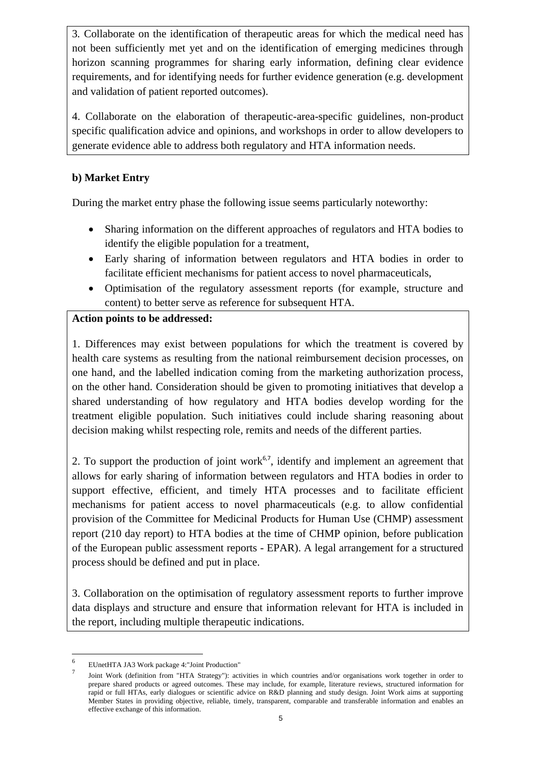3*.* Collaborate on the identification of therapeutic areas for which the medical need has not been sufficiently met yet and on the identification of emerging medicines through horizon scanning programmes for sharing early information, defining clear evidence requirements, and for identifying needs for further evidence generation (e.g. development and validation of patient reported outcomes).

4. Collaborate on the elaboration of therapeutic-area-specific guidelines, non-product specific qualification advice and opinions, and workshops in order to allow developers to generate evidence able to address both regulatory and HTA information needs.

## **b) Market Entry**

During the market entry phase the following issue seems particularly noteworthy:

- Sharing information on the different approaches of regulators and HTA bodies to identify the eligible population for a treatment,
- Early sharing of information between regulators and HTA bodies in order to facilitate efficient mechanisms for patient access to novel pharmaceuticals,
- Optimisation of the regulatory assessment reports (for example, structure and content) to better serve as reference for subsequent HTA.

## **Action points to be addressed:**

1. Differences may exist between populations for which the treatment is covered by health care systems as resulting from the national reimbursement decision processes, on one hand, and the labelled indication coming from the marketing authorization process, on the other hand. Consideration should be given to promoting initiatives that develop a shared understanding of how regulatory and HTA bodies develop wording for the treatment eligible population. Such initiatives could include sharing reasoning about decision making whilst respecting role, remits and needs of the different parties.

2. To support the production of joint work<sup> $6,7$ </sup>, identify and implement an agreement that allows for early sharing of information between regulators and HTA bodies in order to support effective, efficient, and timely HTA processes and to facilitate efficient mechanisms for patient access to novel pharmaceuticals (e.g. to allow confidential provision of the Committee for Medicinal Products for Human Use (CHMP) assessment report (210 day report) to HTA bodies at the time of CHMP opinion, before publication of the European public assessment reports - EPAR). A legal arrangement for a structured process should be defined and put in place.

3. Collaboration on the optimisation of regulatory assessment reports to further improve data displays and structure and ensure that information relevant for HTA is included in the report, including multiple therapeutic indications.

 6 EUnetHTA JA3 Work package 4:"Joint Production"

<sup>7</sup> Joint Work (definition from "HTA Strategy"): activities in which countries and/or organisations work together in order to prepare shared products or agreed outcomes. These may include, for example, literature reviews, structured information for rapid or full HTAs, early dialogues or scientific advice on R&D planning and study design. Joint Work aims at supporting Member States in providing objective, reliable, timely, transparent, comparable and transferable information and enables an effective exchange of this information.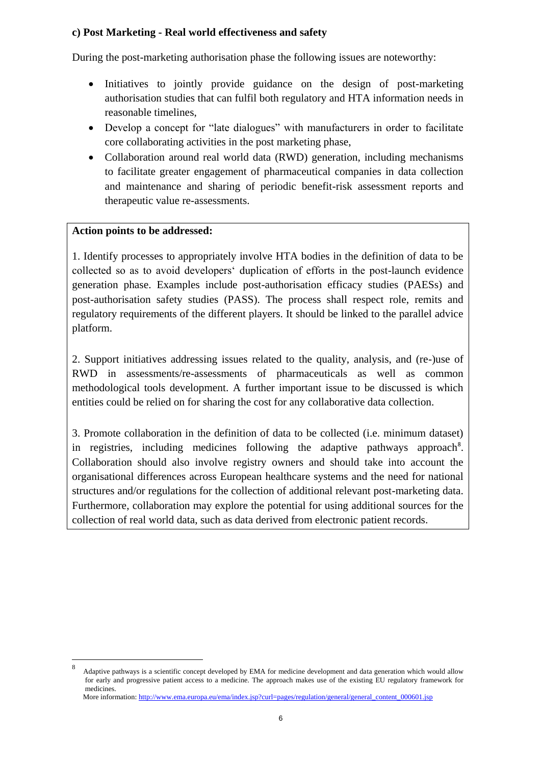## **c) Post Marketing - Real world effectiveness and safety**

During the post-marketing authorisation phase the following issues are noteworthy:

- Initiatives to jointly provide guidance on the design of post-marketing authorisation studies that can fulfil both regulatory and HTA information needs in reasonable timelines,
- Develop a concept for "late dialogues" with manufacturers in order to facilitate core collaborating activities in the post marketing phase,
- Collaboration around real world data (RWD) generation, including mechanisms to facilitate greater engagement of pharmaceutical companies in data collection and maintenance and sharing of periodic benefit-risk assessment reports and therapeutic value re-assessments.

## **Action points to be addressed:**

 $\overline{a}$ 

1. Identify processes to appropriately involve HTA bodies in the definition of data to be collected so as to avoid developers' duplication of efforts in the post-launch evidence generation phase. Examples include post-authorisation efficacy studies (PAESs) and post-authorisation safety studies (PASS). The process shall respect role, remits and regulatory requirements of the different players. It should be linked to the parallel advice platform.

2. Support initiatives addressing issues related to the quality, analysis, and (re-)use of RWD in assessments/re-assessments of pharmaceuticals as well as common methodological tools development. A further important issue to be discussed is which entities could be relied on for sharing the cost for any collaborative data collection.

3. Promote collaboration in the definition of data to be collected (i.e. minimum dataset) in registries, including medicines following the adaptive pathways approach<sup>8</sup>. Collaboration should also involve registry owners and should take into account the organisational differences across European healthcare systems and the need for national structures and/or regulations for the collection of additional relevant post-marketing data. Furthermore, collaboration may explore the potential for using additional sources for the collection of real world data, such as data derived from electronic patient records.

```
: http://www.ema.europa.eu/ema/index.jsp?curl=pages/regulation/general/general_content_000601.jsp
```
<sup>8</sup> Adaptive pathways is a scientific concept developed by EMA for medicine development and data generation which would allow for early and progressive patient access to a medicine. The approach makes use of the existing EU regulatory framework for medicines.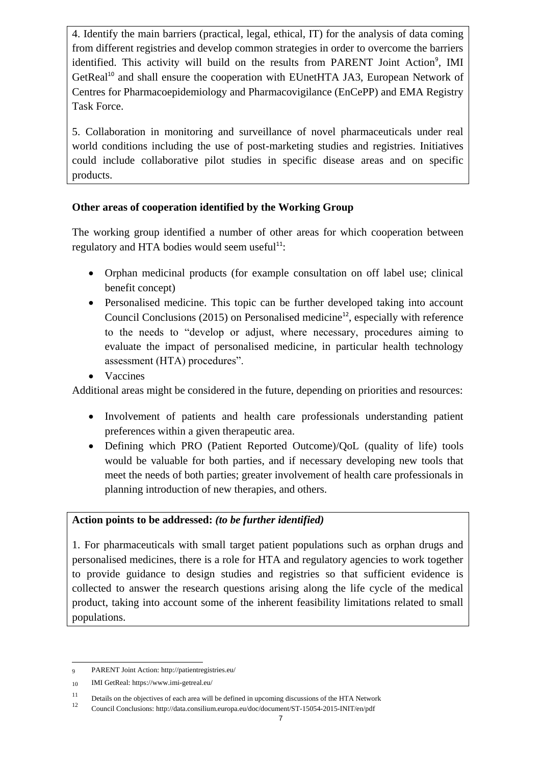4. Identify the main barriers (practical, legal, ethical, IT) for the analysis of data coming from different registries and develop common strategies in order to overcome the barriers identified. This activity will build on the results from PARENT Joint Action<sup>9</sup>, IMI GetReal<sup>10</sup> and shall ensure the cooperation with EUnetHTA JA3, European Network of Centres for Pharmacoepidemiology and Pharmacovigilance (EnCePP) and EMA Registry Task Force.

5. Collaboration in monitoring and surveillance of novel pharmaceuticals under real world conditions including the use of post-marketing studies and registries. Initiatives could include collaborative pilot studies in specific disease areas and on specific products.

## **Other areas of cooperation identified by the Working Group**

The working group identified a number of other areas for which cooperation between regulatory and HTA bodies would seem useful $11$ :

- Orphan medicinal products (for example consultation on off label use; clinical benefit concept)
- Personalised medicine. This topic can be further developed taking into account Council Conclusions  $(2015)$  on Personalised medicine<sup>12</sup>, especially with reference to the needs to "develop or adjust, where necessary, procedures aiming to evaluate the impact of personalised medicine, in particular health technology assessment (HTA) procedures".
- Vaccines

Additional areas might be considered in the future, depending on priorities and resources:

- Involvement of patients and health care professionals understanding patient preferences within a given therapeutic area.
- Defining which PRO (Patient Reported Outcome)/QoL (quality of life) tools would be valuable for both parties, and if necessary developing new tools that meet the needs of both parties; greater involvement of health care professionals in planning introduction of new therapies, and others.

## **Action points to be addressed:** *(to be further identified)*

1. For pharmaceuticals with small target patient populations such as orphan drugs and personalised medicines, there is a role for HTA and regulatory agencies to work together to provide guidance to design studies and registries so that sufficient evidence is collected to answer the research questions arising along the life cycle of the medical product, taking into account some of the inherent feasibility limitations related to small populations.

 $\overline{a}$ 9 PARENT Joint Action[: http://patientregistries.eu/](http://patientregistries.eu/)

<sup>10</sup> IMI GetReal[: https://www.imi-getreal.eu/](https://www.imi-getreal.eu/)

<sup>11</sup> Details on the objectives of each area will be defined in upcoming discussions of the HTA Network  $\frac{12}{12}$ 

<sup>12</sup>Council Conclusions: http://data.consilium.europa.eu/doc/document/ST-15054-2015-INIT/en/pdf